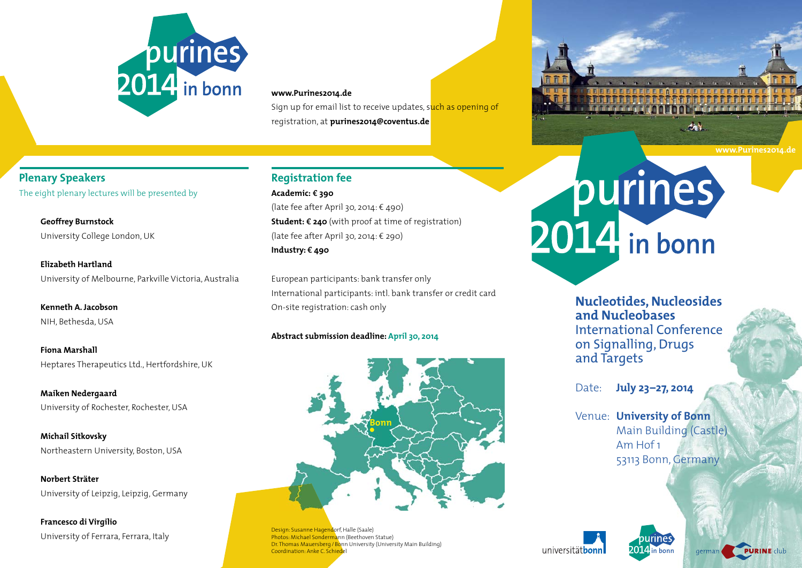

### **www.Purines2014.de**

Sign up for email list to receive updates, such as opening of registration, at **purines2014@coventus.de**

## **Plenary Speakers** The eight plenary lectures will be presented by

**Geoffrey Burnstock** University College London, UK

**Elizabeth Hartland**University of Melbourne, Parkville Victoria, Australia

**Kenneth A. Jacobson**NIH, Bethesda, USA

**Fiona Marshall**Heptares Therapeutics Ltd., Hertfordshire, UK

**Maiken Nedergaard** University of Rochester, Rochester, USA

**Michail Sitkovsky** Northeastern University, Boston, USA

**Norbert Sträter**University of Leipzig, Leipzig, Germany

**Francesco di Virgilio** University of Ferrara, Ferrara, Italy

# **Registration fee**

**Academic:** e **390** (late fee after April 30, 2014:  $\epsilon$  490) **Student: € 240** (with proof at time of registration) (late fee after April 30, 2014:  $\epsilon$  290) **Industry:** e **490**

European participants: bank transfer only International participants: intl. bank transfer or credit card On-site registration: cash only

### **Abstract submission deadline: April 30, 2014**



Design: Susanne Hagendorf, Halle (Saale) Photos: Michael Sondermann (Beethoven Statue) Dr. Thomas Mauersberg / Bonn University (University Main Building) Coordination: Anke C. Schiedel

# purines

**Nucleotides, Nucleosides and Nucleobases** International Conference on Signalling, Drugs and Targets

Date: **July 23–27, 2014**

Venue: **University of Bonn** Main Building (Castle) Am Hof 1 53113 Bonn, Germany





**www.Purines2014.de**

一个时